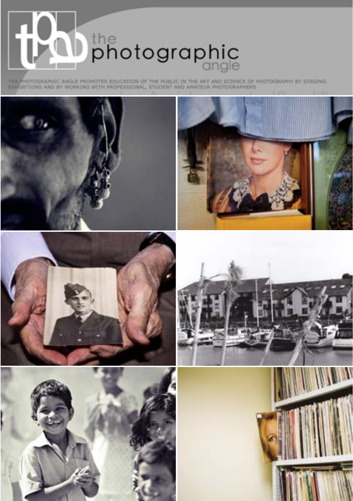

THE PHOTOGRAPHIC ANGLE PROMOTES EDUCATION OF THE PUBLIC IN THE ART AND SCIENCE OF PHOTOGRAPHY BY STAGING

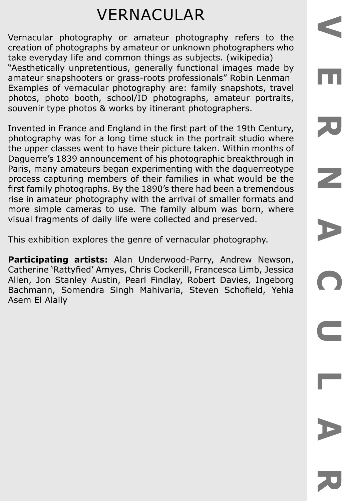# VERNACULAR

Vernacular photography or amateur photography refers to the creation of photographs by amateur or unknown photographers who take everyday life and common things as subjects. (wikipedia) "Aesthetically unpretentious, generally functional images made by amateur snapshooters or grass-roots professionals" Robin Lenman Examples of vernacular photography are: family snapshots, travel photos, photo booth, school/ID photographs, amateur portraits, souvenir type photos & works by itinerant photographers.

Invented in France and England in the first part of the 19th Century, photography was for a long time stuck in the portrait studio where the upper classes went to have their picture taken. Within months of Daguerre's 1839 announcement of his photographic breakthrough in Paris, many amateurs began experimenting with the daguerreotype process capturing members of their families in what would be the first family photographs. By the 1890's there had been a tremendous rise in amateur photography with the arrival of smaller formats and more simple cameras to use. The family album was born, where visual fragments of daily life were collected and preserved.

This exhibition explores the genre of vernacular photography.

**Participating artists:** Alan Underwood-Parry, Andrew Newson, Catherine 'Rattyfied' Amyes, Chris Cockerill, Francesca Limb, Jessica Allen, Jon Stanley Austin, Pearl Findlay, Robert Davies, Ingeborg Bachmann, Somendra Singh Mahivaria, Steven Schofield, Yehia Asem El Alaily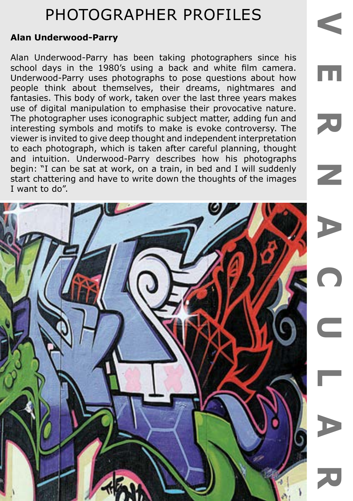### **Alan Underwood-Parry**

Alan Underwood-Parry has been taking photographers since his school days in the 1980's using a back and white film camera. Underwood-Parry uses photographs to pose questions about how people think about themselves, their dreams, nightmares and fantasies. This body of work, taken over the last three years makes use of digital manipulation to emphasise their provocative nature. The photographer uses iconographic subject matter, adding fun and interesting symbols and motifs to make is evoke controversy. The viewer is invited to give deep thought and independent interpretation to each photograph, which is taken after careful planning, thought and intuition. Underwood-Parry describes how his photographs begin: "I can be sat at work, on a train, in bed and I will suddenly start chattering and have to write down the thoughts of the images I want to do".

Ш

70

 $\overline{\phantom{a}}$ 

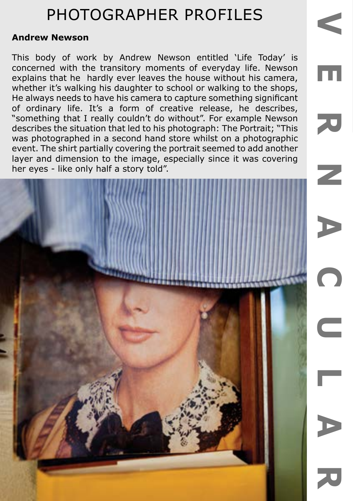#### **Andrew Newson**

This body of work by Andrew Newson entitled 'Life Today' is concerned with the transitory moments of everyday life. Newson explains that he hardly ever leaves the house without his camera, whether it's walking his daughter to school or walking to the shops, He always needs to have his camera to capture something significant of ordinary life. It's a form of creative release, he describes, "something that I really couldn't do without". For example Newson describes the situation that led to his photograph: The Portrait; "This was photographed in a second hand store whilst on a photographic event. The shirt partially covering the portrait seemed to add another layer and dimension to the image, especially since it was covering her eyes - like only half a story told".

m

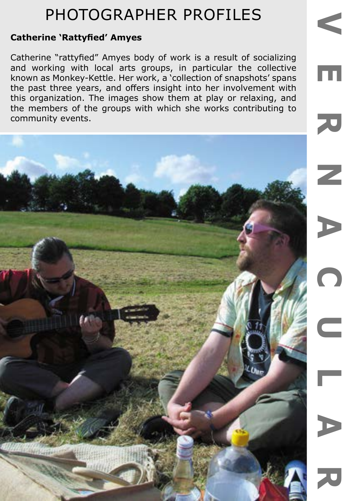### **Catherine 'Rattyfied' Amyes**

Catherine "rattyfied" Amyes body of work is a result of socializing and working with local arts groups, in particular the collective known as Monkey-Kettle. Her work, a 'collection of snapshots' spans the past three years, and offers insight into her involvement with this organization. The images show them at play or relaxing, and the members of the groups with which she works contributing to community events.

 $\overline{\phantom{a}}$ D  $\subset$ 

**VERNACULAR**

 $\overline{C}$ 

Γ

Ш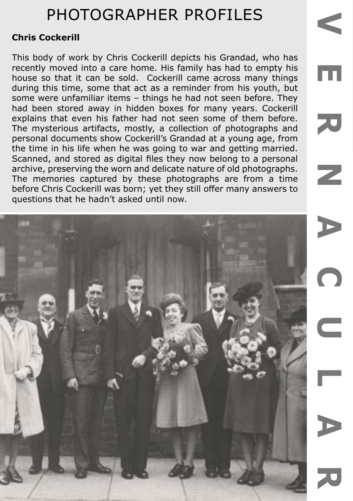### **Chris Cockerill**

This body of work by Chris Cockerill depicts his Grandad, who has recently moved into a care home. His family has had to empty his house so that it can be sold. Cockerill came across many things during this time, some that act as a reminder from his youth, but some were unfamiliar items – things he had not seen before. They had been stored away in hidden boxes for many years. Cockerill explains that even his father had not seen some of them before. The mysterious artifacts, mostly, a collection of photographs and personal documents show Cockerill's Grandad at a young age, from the time in his life when he was going to war and getting married. Scanned, and stored as digital files they now belong to a personal archive, preserving the worn and delicate nature of old photographs. The memories captured by these photographs are from a time before Chris Cockerill was born; yet they still offer many answers to questions that he hadn't asked until now.

m

70

 $\mathbb Z$ 

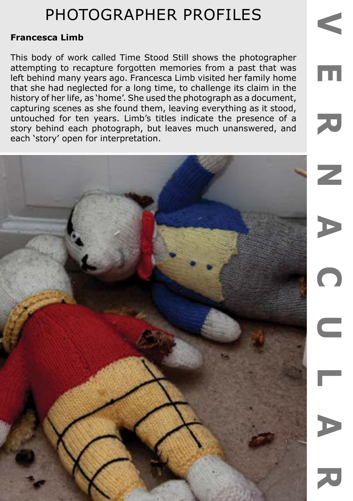### **Francesca Limb**

This body of work called Time Stood Still shows the photographer attempting to recapture forgotten memories from a past that was left behind many years ago. Francesca Limb visited her family home that she had neglected for a long time, to challenge its claim in the history of her life, as 'home'. She used the photograph as a document, capturing scenes as she found them, leaving everything as it stood, untouched for ten years. Limb's titles indicate the presence of a story behind each photograph, but leaves much unanswered, and each 'story' open for interpretation.

Ш

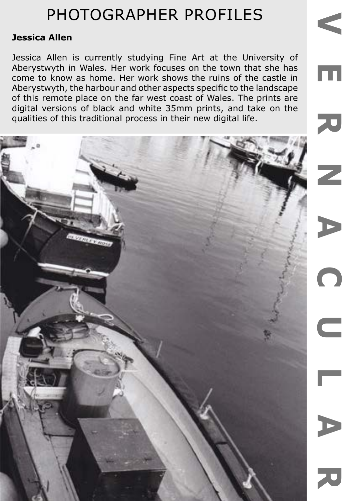### **Jessica Allen**

Jessica Allen is currently studying Fine Art at the University of Aberystwyth in Wales. Her work focuses on the town that she has come to know as home. Her work shows the ruins of the castle in Aberystwyth, the harbour and other aspects specific to the landscape of this remote place on the far west coast of Wales. The prints are digital versions of black and white 35mm prints, and take on the qualities of this traditional process in their new digital life.

Ш

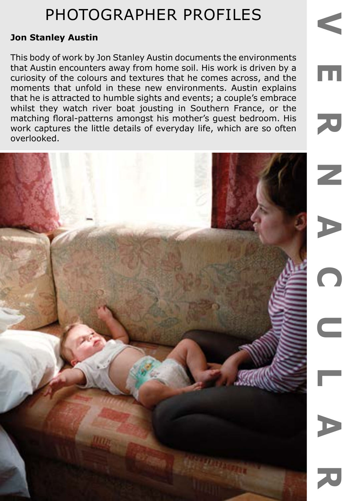### **Jon Stanley Austin**

This body of work by Jon Stanley Austin documents the environments that Austin encounters away from home soil. His work is driven by a curiosity of the colours and textures that he comes across, and the moments that unfold in these new environments. Austin explains that he is attracted to humble sights and events; a couple's embrace whilst they watch river boat jousting in Southern France, or the matching floral-patterns amongst his mother's guest bedroom. His work captures the little details of everyday life, which are so often overlooked.

Ш

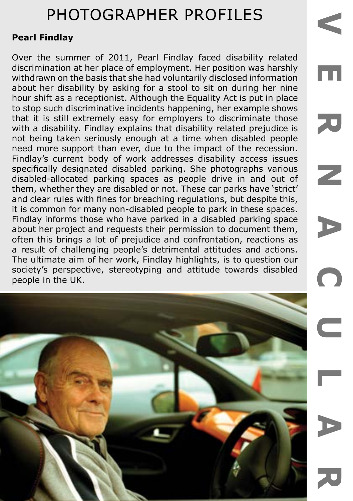m

70

Z

### **Pearl Findlay**

Over the summer of 2011, Pearl Findlay faced disability related discrimination at her place of employment. Her position was harshly withdrawn on the basis that she had voluntarily disclosed information about her disability by asking for a stool to sit on during her nine hour shift as a receptionist. Although the Equality Act is put in place to stop such discriminative incidents happening, her example shows that it is still extremely easy for employers to discriminate those with a disability. Findlay explains that disability related prejudice is not being taken seriously enough at a time when disabled people need more support than ever, due to the impact of the recession. Findlay's current body of work addresses disability access issues specifically designated disabled parking. She photographs various disabled-allocated parking spaces as people drive in and out of them, whether they are disabled or not. These car parks have 'strict' and clear rules with fines for breaching regulations, but despite this, it is common for many non-disabled people to park in these spaces. Findlay informs those who have parked in a disabled parking space about her project and requests their permission to document them, often this brings a lot of prejudice and confrontation, reactions as a result of challenging people's detrimental attitudes and actions. The ultimate aim of her work, Findlay highlights, is to question our society's perspective, stereotyping and attitude towards disabled people in the UK.

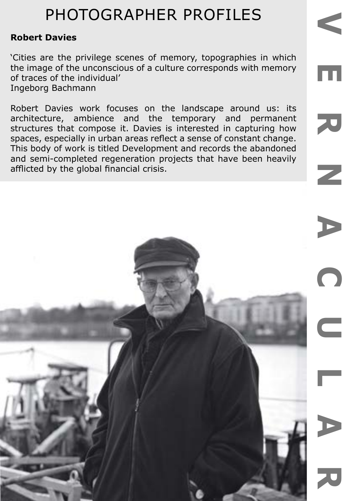### **Robert Davies**

'Cities are the privilege scenes of memory, topographies in which the image of the unconscious of a culture corresponds with memory of traces of the individual' Ingeborg Bachmann

Robert Davies work focuses on the landscape around us: its architecture, ambience and the temporary and permanent structures that compose it. Davies is interested in capturing how spaces, especially in urban areas reflect a sense of constant change. This body of work is titled Development and records the abandoned and semi-completed regeneration projects that have been heavily afflicted by the global financial crisis.

 $\overline{\mathbf{u}}$ 

70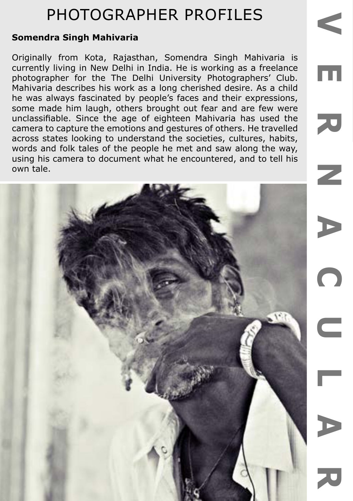### **Somendra Singh Mahivaria**

Originally from Kota, Rajasthan, Somendra Singh Mahivaria is currently living in New Delhi in India. He is working as a freelance photographer for the The Delhi University Photographers' Club. Mahivaria describes his work as a long cherished desire. As a child he was always fascinated by people's faces and their expressions, some made him laugh, others brought out fear and are few were unclassifiable. Since the age of eighteen Mahivaria has used the camera to capture the emotions and gestures of others. He travelled across states looking to understand the societies, cultures, habits, words and folk tales of the people he met and saw along the way, using his camera to document what he encountered, and to tell his own tale.



**VERNACULAR**

 $\bigcap$ 

a.

m

刀

 $\overline{\phantom{a}}$